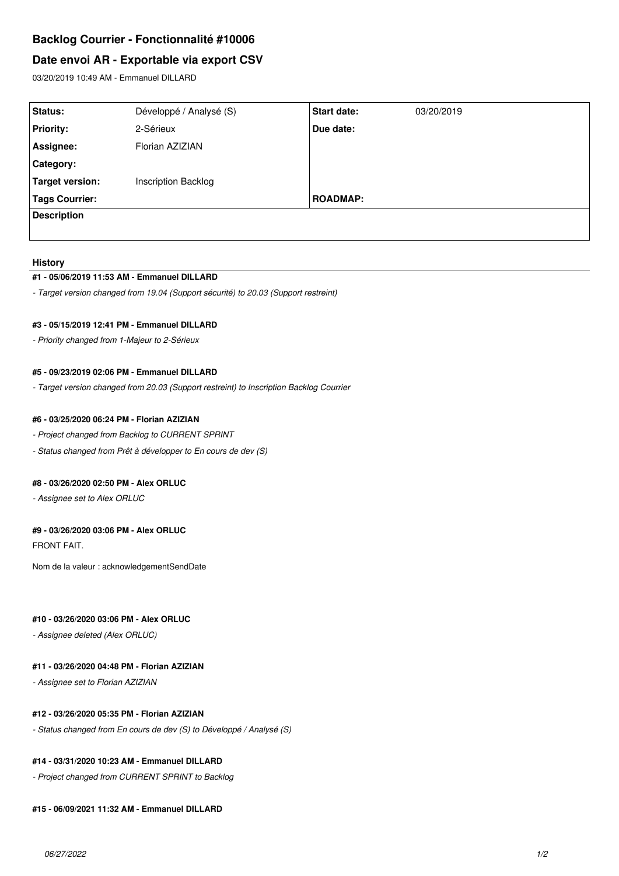# **Backlog Courrier - Fonctionnalité #10006**

# **Date envoi AR - Exportable via export CSV**

03/20/2019 10:49 AM - Emmanuel DILLARD

| Status:               | Développé / Analysé (S)    | <b>Start date:</b> | 03/20/2019 |
|-----------------------|----------------------------|--------------------|------------|
| <b>Priority:</b>      | 2-Sérieux                  | Due date:          |            |
| Assignee:             | Florian AZIZIAN            |                    |            |
| Category:             |                            |                    |            |
| Target version:       | <b>Inscription Backlog</b> |                    |            |
| <b>Tags Courrier:</b> |                            | <b>ROADMAP:</b>    |            |
| <b>Description</b>    |                            |                    |            |
|                       |                            |                    |            |

#### **History**

#### **#1 - 05/06/2019 11:53 AM - Emmanuel DILLARD**

*- Target version changed from 19.04 (Support sécurité) to 20.03 (Support restreint)*

### **#3 - 05/15/2019 12:41 PM - Emmanuel DILLARD**

*- Priority changed from 1-Majeur to 2-Sérieux*

### **#5 - 09/23/2019 02:06 PM - Emmanuel DILLARD**

*- Target version changed from 20.03 (Support restreint) to Inscription Backlog Courrier*

### **#6 - 03/25/2020 06:24 PM - Florian AZIZIAN**

- *Project changed from Backlog to CURRENT SPRINT*
- *Status changed from Prêt à développer to En cours de dev (S)*

## **#8 - 03/26/2020 02:50 PM - Alex ORLUC**

*- Assignee set to Alex ORLUC*

# **#9 - 03/26/2020 03:06 PM - Alex ORLUC**

FRONT FAIT.

Nom de la valeur : acknowledgementSendDate

## **#10 - 03/26/2020 03:06 PM - Alex ORLUC**

*- Assignee deleted (Alex ORLUC)*

# **#11 - 03/26/2020 04:48 PM - Florian AZIZIAN**

*- Assignee set to Florian AZIZIAN*

## **#12 - 03/26/2020 05:35 PM - Florian AZIZIAN**

*- Status changed from En cours de dev (S) to Développé / Analysé (S)*

## **#14 - 03/31/2020 10:23 AM - Emmanuel DILLARD**

*- Project changed from CURRENT SPRINT to Backlog*

#### **#15 - 06/09/2021 11:32 AM - Emmanuel DILLARD**